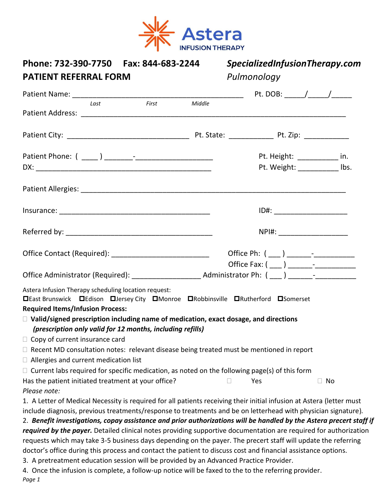

| Phone: 732-390-7750    Fax: 844-683-2244<br><b>PATIENT REFERRAL FORM</b>                                                                                                                           | SpecializedInfusionTherapy.com<br>Pulmonology |     |  |                                 |
|----------------------------------------------------------------------------------------------------------------------------------------------------------------------------------------------------|-----------------------------------------------|-----|--|---------------------------------|
|                                                                                                                                                                                                    |                                               |     |  |                                 |
| First<br>Last                                                                                                                                                                                      | Middle                                        |     |  |                                 |
|                                                                                                                                                                                                    |                                               |     |  |                                 |
|                                                                                                                                                                                                    |                                               |     |  |                                 |
|                                                                                                                                                                                                    |                                               |     |  | Pt. Height: ______________ in.  |
|                                                                                                                                                                                                    |                                               |     |  | Pt. Weight: ___________ lbs.    |
|                                                                                                                                                                                                    |                                               |     |  |                                 |
|                                                                                                                                                                                                    |                                               |     |  |                                 |
|                                                                                                                                                                                                    |                                               |     |  | NPI#: _________________________ |
| Office Contact (Required): ________________________________                                                                                                                                        |                                               |     |  |                                 |
|                                                                                                                                                                                                    |                                               |     |  |                                 |
| Astera Infusion Therapy scheduling location request:<br><b>□East Brunswick □Edison □Jersey City □Monroe □Robbinsville □Rutherford □Somerset</b>                                                    |                                               |     |  |                                 |
| <b>Required Items/Infusion Process:</b>                                                                                                                                                            |                                               |     |  |                                 |
| $\Box$ Valid/signed prescription including name of medication, exact dosage, and directions<br>(prescription only valid for 12 months, including refills)<br>$\Box$ Copy of current insurance card |                                               |     |  |                                 |
| $\Box$ Recent MD consultation notes: relevant disease being treated must be mentioned in report                                                                                                    |                                               |     |  |                                 |
| $\Box$ Allergies and current medication list                                                                                                                                                       |                                               |     |  |                                 |
| $\Box$ Current labs required for specific medication, as noted on the following page(s) of this form                                                                                               |                                               |     |  |                                 |
| Has the patient initiated treatment at your office?<br>Please note:                                                                                                                                |                                               | Yes |  | $\Box$ No                       |
| 1. A Letter of Medical Necessity is required for all patients receiving their initial infusion at Astera (letter must                                                                              |                                               |     |  |                                 |
| include diagnosis, previous treatments/response to treatments and be on letterhead with physician signature).                                                                                      |                                               |     |  |                                 |
| 2. Benefit investigations, copay assistance and prior authorizations will be handled by the Astera precert staff if                                                                                |                                               |     |  |                                 |
| required by the payer. Detailed clinical notes providing supportive documentation are required for authorization                                                                                   |                                               |     |  |                                 |
| requests which may take 3-5 business days depending on the payer. The precert staff will update the referring                                                                                      |                                               |     |  |                                 |
| doctor's office during this process and contact the patient to discuss cost and financial assistance options.                                                                                      |                                               |     |  |                                 |
| 3. A pretreatment education session will be provided by an Advanced Practice Provider.                                                                                                             |                                               |     |  |                                 |
| 4. Once the infusion is complete, a follow-up notice will be faxed to the to the referring provider.                                                                                               |                                               |     |  |                                 |

*Page 1*